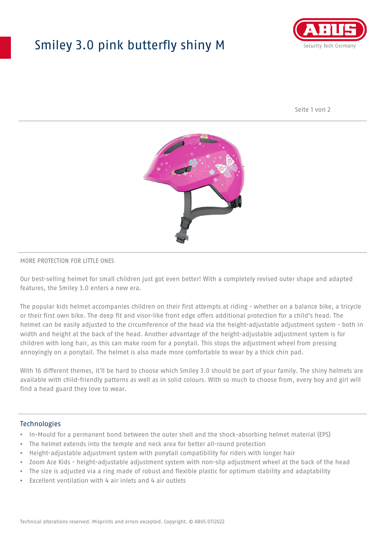## Smiley 3.0 pink butterfly shiny M



Seite 1 von 2



#### MORE PROTECTION FOR LITTLE ONES

Our best-selling helmet for small children just got even better! With a completely revised outer shape and adapted features, the Smiley 3.0 enters a new era.

The popular kids helmet accompanies children on their first attempts at riding - whether on a balance bike, a tricycle or their first own bike. The deep fit and visor-like front edge offers additional protection for a child's head. The helmet can be easily adjusted to the circumference of the head via the height-adjustable adjustment system - both in width and height at the back of the head. Another advantage of the height-adjustable adjustment system is for children with long hair, as this can make room for a ponytail. This stops the adjustment wheel from pressing annoyingly on a ponytail. The helmet is also made more comfortable to wear by a thick chin pad.

With 16 different themes, it'll be hard to choose which Smiley 3.0 should be part of your family. The shiny helmets are available with child-friendly patterns as well as in solid colours. With so much to choose from, every boy and girl will find a head guard they love to wear.

#### **Technologies**

- In-Mould for a permanent bond between the outer shell and the shock-absorbing helmet material (EPS)
- The helmet extends into the temple and neck area for better all-round protection
- Height-adjustable adjustment system with ponytail compatibility for riders with longer hair
- Zoom Ace Kids height-adjustable adjustment system with non-slip adjustment wheel at the back of the head
- The size is adjusted via a ring made of robust and flexible plastic for optimum stability and adaptability
- Excellent ventilation with 4 air inlets and 4 air outlets